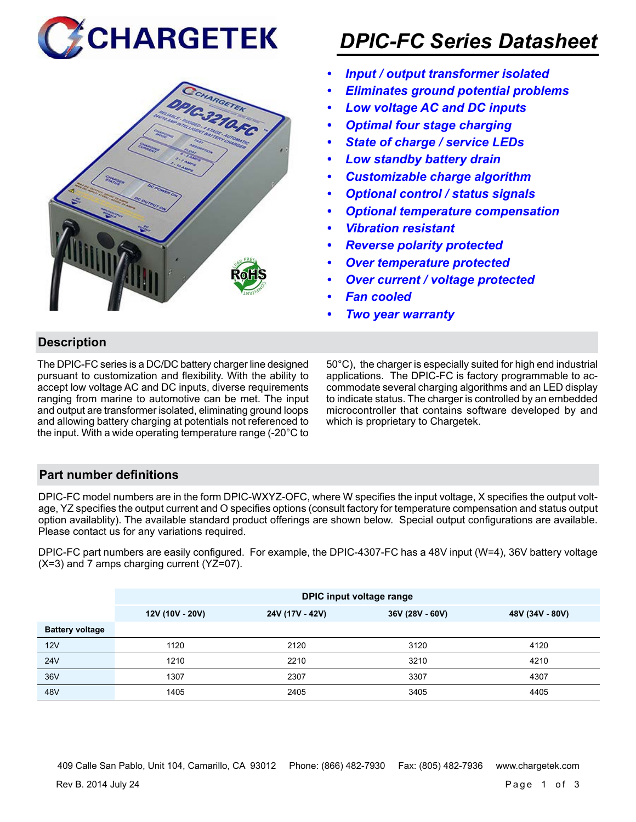



# *DPIC-FC Series Datasheet*

- *• Input / output transformer isolated*
- *• Eliminates ground potential problems*
- *• Low voltage AC and DC inputs*
- *• Optimal four stage charging*
- *• State of charge / service LEDs*
- *• Low standby battery drain*
- *• Customizable charge algorithm*
- *• Optional control / status signals*
- *• Optional temperature compensation*
- *• Vibration resistant*
- *• Reverse polarity protected*
- *• Over temperature protected*
- *• Over current / voltage protected*
- *• Fan cooled*
- *• Two year warranty*

# **Description**

The DPIC-FC series is a DC/DC battery charger line designed pursuant to customization and flexibility. With the ability to accept low voltage AC and DC inputs, diverse requirements ranging from marine to automotive can be met. The input and output are transformer isolated, eliminating ground loops and allowing battery charging at potentials not referenced to the input. With a wide operating temperature range (-20°C to

50°C), the charger is especially suited for high end industrial applications. The DPIC-FC is factory programmable to accommodate several charging algorithms and an LED display to indicate status. The charger is controlled by an embedded microcontroller that contains software developed by and which is proprietary to Chargetek.

# **Part number definitions**

DPIC-FC model numbers are in the form DPIC-WXYZ-OFC, where W specifies the input voltage, X specifies the output voltage, YZ specifies the output current and O specifies options (consult factory for temperature compensation and status output option availablity). The available standard product offerings are shown below. Special output configurations are available. Please contact us for any variations required.

DPIC-FC part numbers are easily configured. For example, the DPIC-4307-FC has a 48V input (W=4), 36V battery voltage (X=3) and 7 amps charging current (YZ=07).

|                        | DPIC input voltage range |                                                       |      |      |  |  |
|------------------------|--------------------------|-------------------------------------------------------|------|------|--|--|
|                        | 12V (10V - 20V)          | 36V (28V - 60V)<br>24V (17V - 42V)<br>48V (34V - 80V) |      |      |  |  |
| <b>Battery voltage</b> |                          |                                                       |      |      |  |  |
| 12V                    | 1120                     | 2120                                                  | 3120 | 4120 |  |  |
| 24V                    | 1210                     | 2210                                                  | 3210 | 4210 |  |  |
| 36V                    | 1307                     | 2307                                                  | 3307 | 4307 |  |  |
| 48V                    | 1405                     | 2405                                                  | 3405 | 4405 |  |  |

409 Calle San Pablo, Unit 104, Camarillo, CA 93012 Phone: (866) 482-7930 Fax: (805) 482-7936 www.chargetek.com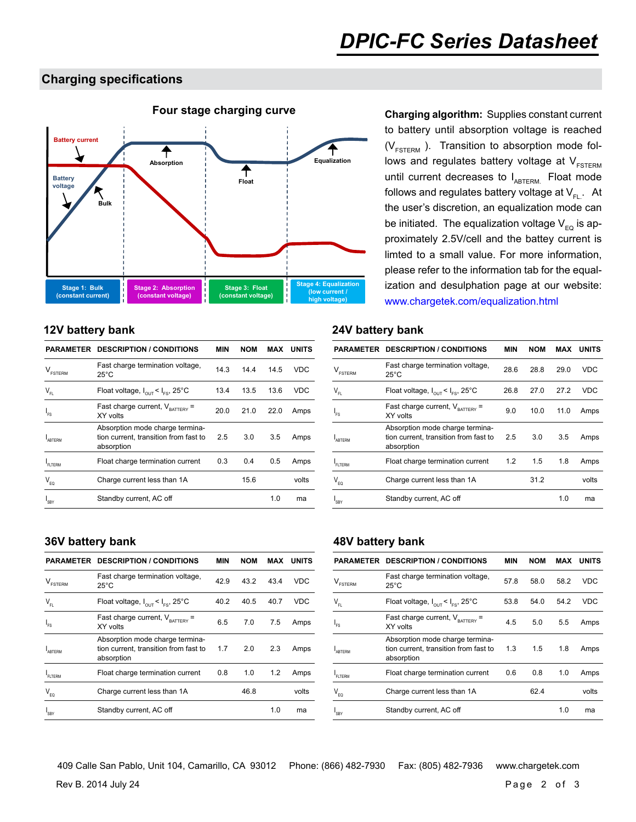# **Charging specifications**



## **12V battery bank 24V battery bank**

|                     | <b>PARAMETER DESCRIPTION / CONDITIONS</b>                                              | MIN  | NOM  | MAX  | <b>UNITS</b> |
|---------------------|----------------------------------------------------------------------------------------|------|------|------|--------------|
| $V_{\text{FSTERM}}$ | Fast charge termination voltage,<br>$25^{\circ}$ C                                     | 14.3 | 144  | 14.5 | <b>VDC</b>   |
| $V_{FL}$            | Float voltage, $I_{\text{out}} < I_{\text{esc}}$ , 25°C                                | 13.4 | 13.5 | 13.6 | <b>VDC</b>   |
| $I_{FS}$            | Fast charge current, $V_{\text{raffley}} =$<br>XY volts                                | 20.0 | 21.0 | 22.0 | Amps         |
| ARTERM              | Absorption mode charge termina-<br>tion current, transition from fast to<br>absorption | 2.5  | 3.0  | 3.5  | Amps         |
| FLTERM              | Float charge termination current                                                       | 0.3  | 0.4  | 0.5  | Amps         |
| $V_{FQ}$            | Charge current less than 1A                                                            |      | 15.6 |      | volts        |
| <sup>1</sup> SBY    | Standby current, AC off                                                                |      |      | 1.0  | ma           |
|                     |                                                                                        |      |      |      |              |

# to battery until absorption voltage is reached  $(V_{FSTERN}$ ). Transition to absorption mode follows and regulates battery voltage at  $V_{FSTERM}$ until current decreases to  $I_{ABTERM}$ . Float mode follows and regulates battery voltage at  $V_{F1}$ . At the user's discretion, an equalization mode can be initiated. The equalization voltage  $V_{EQ}$  is approximately 2.5V/cell and the battey current is limted to a small value. For more information, please refer to the information tab for the equalization and desulphation page at our website: www.chargetek.com/equalization.html

|                            | <b>PARAMETER DESCRIPTION / CONDITIONS</b>                                              | MIN  | <b>NOM</b> | <b>MAX</b> | <b>UNITS</b> |
|----------------------------|----------------------------------------------------------------------------------------|------|------------|------------|--------------|
| <b>FSTERM</b>              | Fast charge termination voltage,<br>$25^{\circ}$ C                                     | 28.6 | 28.8       | 29.0       | <b>VDC</b>   |
| $\mathsf{V}_{\mathsf{FL}}$ | Float voltage, $I_{\text{out}} < I_{\text{es}}$ , 25°C                                 | 26.8 | 27.0       | 27.2       | VDC          |
| $I_{FS}$                   | Fast charge current, $V_{\text{raffers}}$ =<br>XY volts                                | 9.0  | 10.0       | 11.0       | Amps         |
| ABTERM                     | Absorption mode charge termina-<br>tion current, transition from fast to<br>absorption | 2.5  | 3.0        | 3.5        | Amps         |
| <b>FLTERM</b>              | Float charge termination current                                                       | 1.2  | 1.5        | 1.8        | Amps         |
| $V_{FQ}$                   | Charge current less than 1A                                                            |      | 31.2       |            | volts        |
| I <sub>SBY</sub>           | Standby current, AC off                                                                |      |            | 1.0        | ma           |

| PARAMETER                      | <b>DESCRIPTION / CONDITIONS</b>                                                        | MIN  | <b>NOM</b> | MAX  | <b>UNITS</b> |
|--------------------------------|----------------------------------------------------------------------------------------|------|------------|------|--------------|
| $\mathsf{V}_{\texttt{FSTERM}}$ | Fast charge termination voltage,<br>$25^{\circ}$ C                                     | 42.9 | 43.2       | 43.4 | <b>VDC</b>   |
| $V_{FL}$                       | Float voltage, $I_{\text{out}} < I_{\text{esc}}$ , 25°C                                | 40.2 | 40.5       | 40.7 | <b>VDC</b>   |
| $I_{FS}$                       | Fast charge current, $V_{\text{raffers}}$ =<br>XY volts                                | 6.5  | 7.0        | 7.5  | Amps         |
| <b>ABTERM</b>                  | Absorption mode charge termina-<br>tion current, transition from fast to<br>absorption | 1.7  | 2.0        | 2.3  | Amps         |
| FI TFRM                        | Float charge termination current                                                       | 0.8  | 1.0        | 1.2  | Amps         |
| $V_{FQ}$                       | Charge current less than 1A                                                            |      | 46.8       |      | volts        |
| <sup>I</sup> SBY               | Standby current, AC off                                                                |      |            | 1.0  | ma           |

## **36V battery bank 48V battery bank**

|                            | <b>PARAMETER DESCRIPTION / CONDITIONS</b>                                              | MIN  | <b>NOM</b> | <b>MAX</b> | UNITS      |
|----------------------------|----------------------------------------------------------------------------------------|------|------------|------------|------------|
| ESTERM                     | Fast charge termination voltage,<br>$25^{\circ}$ C                                     | 57.8 | 58.0       | 58.2       | <b>VDC</b> |
| $\mathsf{V}_{\mathsf{FL}}$ | Float voltage, $I_{\text{out}} < I_{\text{res}}$ , 25°C                                | 53.8 | 54.0       | 54.2       | <b>VDC</b> |
| I <sub>FS</sub>            | Fast charge current, $V_{\text{raffers}}$ =<br>XY volts                                | 4.5  | 5.0        | 5.5        | Amps       |
| <b>ARTERM</b>              | Absorption mode charge termina-<br>tion current, transition from fast to<br>absorption | 1.3  | 1.5        | 1.8        | Amps       |
| FI TFRM                    | Float charge termination current                                                       | 0.6  | 0.8        | 1.0        | Amps       |
| $\mathsf{V}_{\mathsf{EQ}}$ | Charge current less than 1A                                                            |      | 62.4       |            | volts      |
| <sup>I</sup> SBY           | Standby current, AC off                                                                |      |            | 1.0        | ma         |

409 Calle San Pablo, Unit 104, Camarillo, CA 93012 Phone: (866) 482-7930 Fax: (805) 482-7936 www.chargetek.com